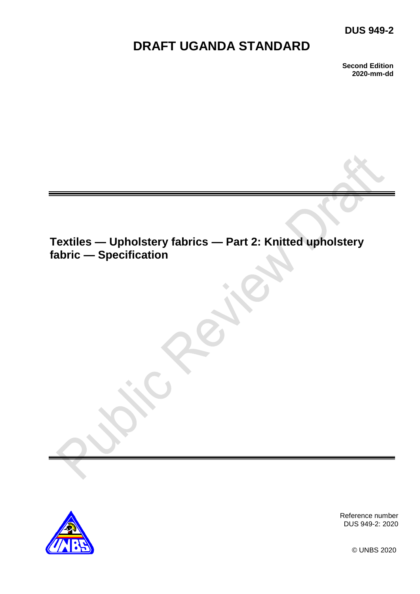# **DUS 949-2**

# **DRAFT UGANDA STANDARD**

**Second Edition 2020-mm-dd**

# **Textiles — Upholstery fabrics — Part 2: Knitted upholstery fabric — Specification**



Reference number DUS 949-2: 2020

© UNBS 2020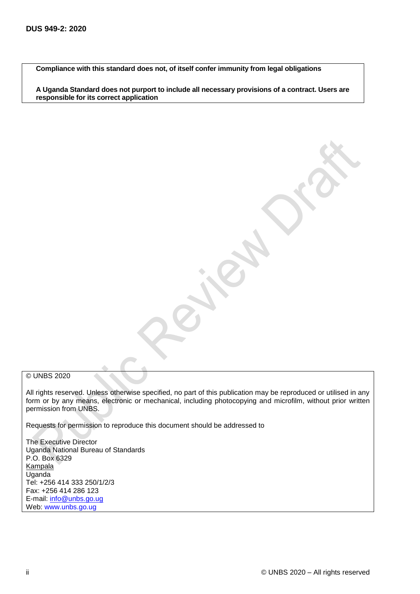**Compliance with this standard does not, of itself confer immunity from legal obligations**

**A Uganda Standard does not purport to include all necessary provisions of a contract. Users are responsible for its correct application**

#### © UNBS 2020

All rights reserved. Unless otherwise specified, no part of this publication may be reproduced or utilised in any form or by any means, electronic or mechanical, including photocopying and microfilm, without prior written permission from UNBS.

Requests for permission to reproduce this document should be addressed to

The Executive Director Uganda National Bureau of Standards P.O. Box 6329 **Kampala** Uganda Tel: +256 414 333 250/1/2/3 Fax: +256 414 286 123 E-mail: [info@unbs.go.ug](mailto:info@unbs.go.ug) Web: www.unbs.go.ug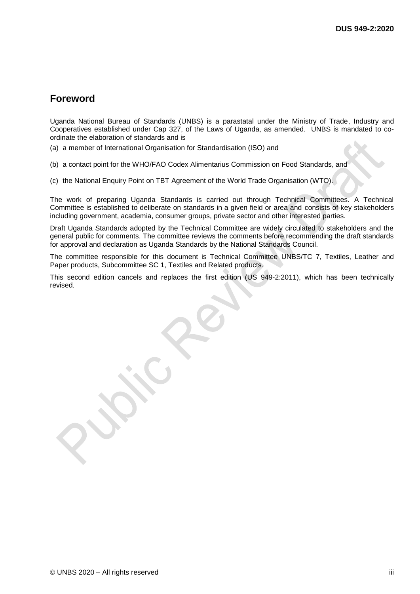## **Foreword**

Uganda National Bureau of Standards (UNBS) is a parastatal under the Ministry of Trade, Industry and Cooperatives established under Cap 327, of the Laws of Uganda, as amended. UNBS is mandated to coordinate the elaboration of standards and is

(a) a member of International Organisation for Standardisation (ISO) and

(b) a contact point for the WHO/FAO Codex Alimentarius Commission on Food Standards, and

(c) the National Enquiry Point on TBT Agreement of the World Trade Organisation (WTO).

The work of preparing Uganda Standards is carried out through Technical Committees. A Technical Committee is established to deliberate on standards in a given field or area and consists of key stakeholders including government, academia, consumer groups, private sector and other interested parties.

Draft Uganda Standards adopted by the Technical Committee are widely circulated to stakeholders and the general public for comments. The committee reviews the comments before recommending the draft standards for approval and declaration as Uganda Standards by the National Standards Council.

The committee responsible for this document is Technical Committee UNBS/TC 7, Textiles, Leather and Paper products, Subcommittee SC 1, Textiles and Related products.

This second edition cancels and replaces the first edition (US 949-2:2011), which has been technically revised.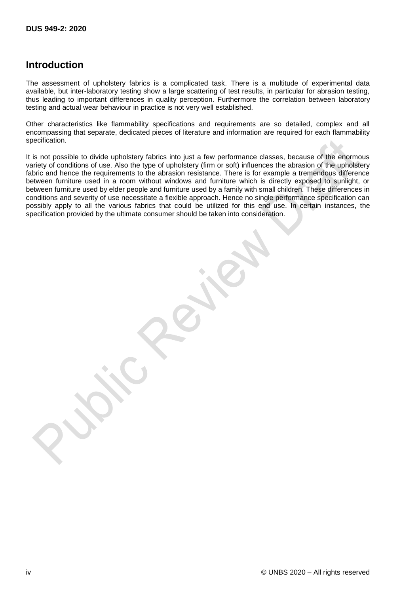## **Introduction**

The assessment of upholstery fabrics is a complicated task. There is a multitude of experimental data available, but inter-laboratory testing show a large scattering of test results, in particular for abrasion testing, thus leading to important differences in quality perception. Furthermore the correlation between laboratory testing and actual wear behaviour in practice is not very well established.

Other characteristics like flammability specifications and requirements are so detailed, complex and all encompassing that separate, dedicated pieces of literature and information are required for each flammability specification.

It is not possible to divide upholstery fabrics into just a few performance classes, because of the enormous variety of conditions of use. Also the type of upholstery (firm or soft) influences the abrasion of the upholstery fabric and hence the requirements to the abrasion resistance. There is for example a tremendous difference between furniture used in a room without windows and furniture which is directly exposed to sunlight, or between furniture used by elder people and furniture used by a family with small children. These differences in conditions and severity of use necessitate a flexible approach. Hence no single performance specification can possibly apply to all the various fabrics that could be utilized for this end use. In certain instances, the specification provided by the ultimate consumer should be taken into consideration.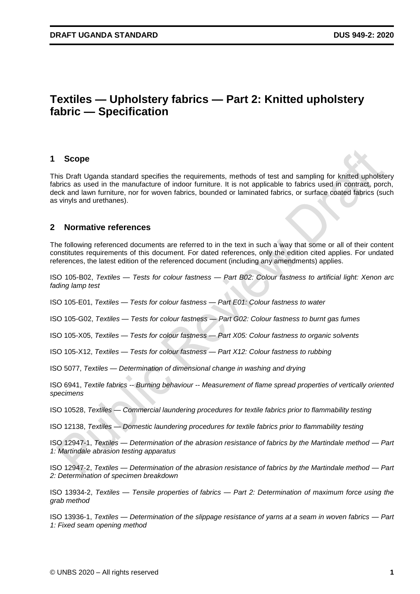# **Textiles — Upholstery fabrics — Part 2: Knitted upholstery fabric — Specification**

#### **1 Scope**

This Draft Uganda standard specifies the requirements, methods of test and sampling for knitted upholstery fabrics as used in the manufacture of indoor furniture. It is not applicable to fabrics used in contract, porch, deck and lawn furniture, nor for woven fabrics, bounded or laminated fabrics, or surface coated fabrics (such as vinyls and urethanes).

#### **2 Normative references**

The following referenced documents are referred to in the text in such a way that some or all of their content constitutes requirements of this document. For dated references, only the edition cited applies. For undated references, the latest edition of the referenced document (including any amendments) applies.

ISO 105-B02, *Textiles — Tests for colour fastness — Part B02: Colour fastness to artificial light: Xenon arc fading lamp test* 

ISO 105-E01, *Textiles — Tests for colour fastness — Part E01: Colour fastness to water*

ISO 105-G02, *Textiles — Tests for colour fastness — Part G02: Colour fastness to burnt gas fumes*

ISO 105-X05, *Textiles — Tests for colour fastness — Part X05: Colour fastness to organic solvents*

ISO 105-X12, *Textiles — Tests for colour fastness — Part X12: Colour fastness to rubbing*

ISO 5077, *Textiles — Determination of dimensional change in washing and drying*

ISO 6941, *Textile fabrics -- Burning behaviour -- Measurement of flame spread properties of vertically oriented specimens*

ISO 10528, *Textiles — Commercial laundering procedures for textile fabrics prior to flammability testing*

ISO 12138, *Textiles — Domestic laundering procedures for textile fabrics prior to flammability testing*

ISO 12947-1, *Textiles — Determination of the abrasion resistance of fabrics by the Martindale method — Part 1: Martindale abrasion testing apparatus*

ISO 12947-2, *Textiles — Determination of the abrasion resistance of fabrics by the Martindale method — Part 2: Determination of specimen breakdown*

ISO 13934-2, *Textiles — Tensile properties of fabrics — Part 2: Determination of maximum force using the grab method*

ISO 13936-1, *Textiles — Determination of the slippage resistance of yarns at a seam in woven fabrics — Part 1: Fixed seam opening method*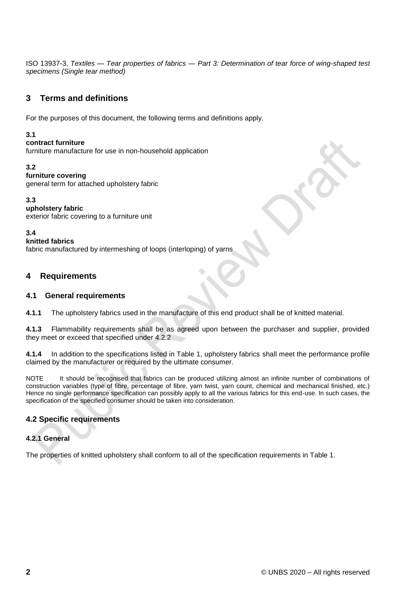ISO 13937-3, *Textiles — Tear properties of fabrics — Part 3: Determination of tear force of wing-shaped test specimens (Single tear method)*

## **3 Terms and definitions**

For the purposes of this document, the following terms and definitions apply.

#### **3.1**

#### **contract furniture**

furniture manufacture for use in non-household application

#### **3.2**

#### **furniture covering**

general term for attached upholstery fabric

#### **3.3**

**upholstery fabric**  exterior fabric covering to a furniture unit

#### **3.4**

#### **knitted fabrics**

fabric manufactured by intermeshing of loops (interloping) of yarns

## **4 Requirements**

#### **4.1 General requirements**

**4.1.1** The upholstery fabrics used in the manufacture of this end product shall be of knitted material.

**4.1.3** Flammability requirements shall be as agreed upon between the purchaser and supplier, provided they meet or exceed that specified under 4.2.2

**4.1.4** In addition to the specifications listed in Table 1, upholstery fabrics shall meet the performance profile claimed by the manufacturer or required by the ultimate consumer.

NOTE It should be recognised that fabrics can be produced utilizing almost an infinite number of combinations of construction variables (type of fibre, percentage of fibre, yarn twist, yarn count, chemical and mechanical finished, etc.) Hence no single performance specification can possibly apply to all the various fabrics for this end-use. In such cases, the specification of the specified consumer should be taken into consideration.

## **4.2 Specific requirements**

#### **4.2.1 General**

The properties of knitted upholstery shall conform to all of the specification requirements in Table 1.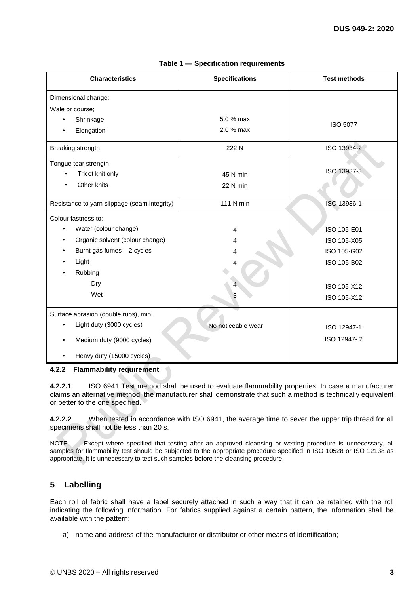| <b>Characteristics</b>                       | <b>Specifications</b> | <b>Test methods</b> |
|----------------------------------------------|-----------------------|---------------------|
| Dimensional change:                          |                       |                     |
| Wale or course;                              |                       |                     |
| Shrinkage                                    | 5.0 % max             | <b>ISO 5077</b>     |
| Elongation                                   | 2.0 % max             |                     |
| Breaking strength                            | 222 N                 | ISO 13934-2         |
| Tongue tear strength                         |                       |                     |
| Tricot knit only                             | 45 N min              | ISO 13937-3         |
| Other knits                                  | 22 N min              |                     |
| Resistance to yarn slippage (seam integrity) | 111 N min             | ISO 13936-1         |
| Colour fastness to;                          |                       |                     |
| Water (colour change)                        | 4                     | ISO 105-E01         |
| Organic solvent (colour change)              | 4                     | ISO 105-X05         |
| Burnt gas fumes $-2$ cycles                  | 4                     | ISO 105-G02         |
| Light                                        | Δ                     | ISO 105-B02         |
| Rubbing                                      |                       |                     |
| Dry                                          |                       | ISO 105-X12         |
| Wet                                          |                       | ISO 105-X12         |
| Surface abrasion (double rubs), min.         |                       |                     |
| Light duty (3000 cycles)                     | No noticeable wear    | ISO 12947-1         |
| Medium duty (9000 cycles)                    |                       | ISO 12947-2         |
| Heavy duty (15000 cycles)                    |                       |                     |

**Table 1 — Specification requirements** 

#### **4.2.2 Flammability requirement**

**4.2.2.1** ISO 6941 Test method shall be used to evaluate flammability properties. In case a manufacturer claims an alternative method, the manufacturer shall demonstrate that such a method is technically equivalent or better to the one specified.

**4.2.2.2** When tested in accordance with ISO 6941, the average time to sever the upper trip thread for all specimens shall not be less than 20 s.

NOTE Except where specified that testing after an approved cleansing or wetting procedure is unnecessary, all samples for flammability test should be subjected to the appropriate procedure specified in ISO 10528 or ISO 12138 as appropriate. It is unnecessary to test such samples before the cleansing procedure.

## **5 Labelling**

Each roll of fabric shall have a label securely attached in such a way that it can be retained with the roll indicating the following information. For fabrics supplied against a certain pattern, the information shall be available with the pattern:

a) name and address of the manufacturer or distributor or other means of identification;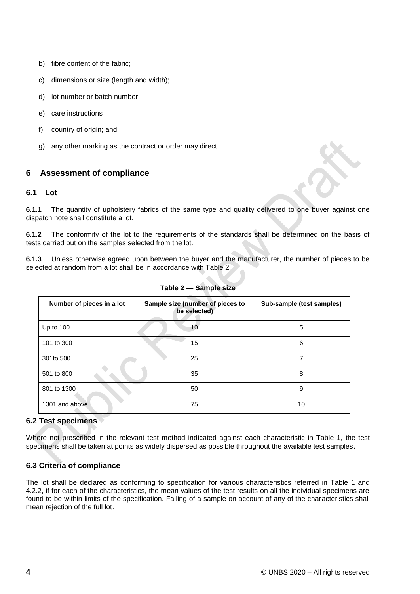- b) fibre content of the fabric;
- c) dimensions or size (length and width);
- d) lot number or batch number
- e) care instructions
- f) country of origin; and
- g) any other marking as the contract or order may direct.

## **6 Assessment of compliance**

#### **6.1 Lot**

**6.1.1** The quantity of upholstery fabrics of the same type and quality delivered to one buyer against one dispatch note shall constitute a lot.

**6.1.2** The conformity of the lot to the requirements of the standards shall be determined on the basis of tests carried out on the samples selected from the lot.

**6.1.3** Unless otherwise agreed upon between the buyer and the manufacturer, the number of pieces to be selected at random from a lot shall be in accordance with Table 2.

| Number of pieces in a lot | Sample size (number of pieces to<br>be selected) | Sub-sample (test samples) |
|---------------------------|--------------------------------------------------|---------------------------|
| Up to $100$               | 10                                               | 5                         |
| 101 to 300                | 15                                               | 6                         |
| 301to 500                 | 25                                               |                           |
| 501 to 800                | 35                                               | 8                         |
| 801 to 1300               | 50                                               | 9                         |
| 1301 and above            | 75                                               | 10                        |

**Table 2 — Sample size**

#### **6.2 Test specimens**

Where not prescribed in the relevant test method indicated against each characteristic in Table 1, the test specimens shall be taken at points as widely dispersed as possible throughout the available test samples.

#### **6.3 Criteria of compliance**

The lot shall be declared as conforming to specification for various characteristics referred in Table 1 and 4.2.2, if for each of the characteristics, the mean values of the test results on all the individual specimens are found to be within limits of the specification. Failing of a sample on account of any of the characteristics shall mean rejection of the full lot.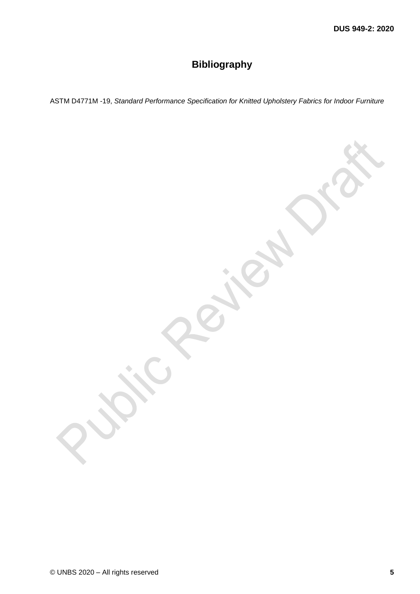# **Bibliography**

ASTM D4771M -19, *Standard Performance Specification for Knitted Upholstery Fabrics for Indoor Furniture*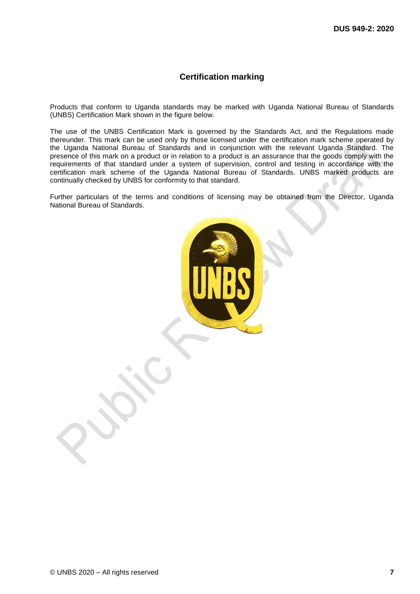#### **Certification marking**

Products that conform to Uganda standards may be marked with Uganda National Bureau of Standards (UNBS) Certification Mark shown in the figure below.

The use of the UNBS Certification Mark is governed by the Standards Act, and the Regulations made thereunder. This mark can be used only by those licensed under the certification mark scheme operated by the Uganda National Bureau of Standards and in conjunction with the relevant Uganda Standard. The presence of this mark on a product or in relation to a product is an assurance that the goods comply with the requirements of that standard under a system of supervision, control and testing in accordance with the certification mark scheme of the Uganda National Bureau of Standards. UNBS marked products are continually checked by UNBS for conformity to that standard.

Further particulars of the terms and conditions of licensing may be obtained from the Director, Uganda National Bureau of Standards.